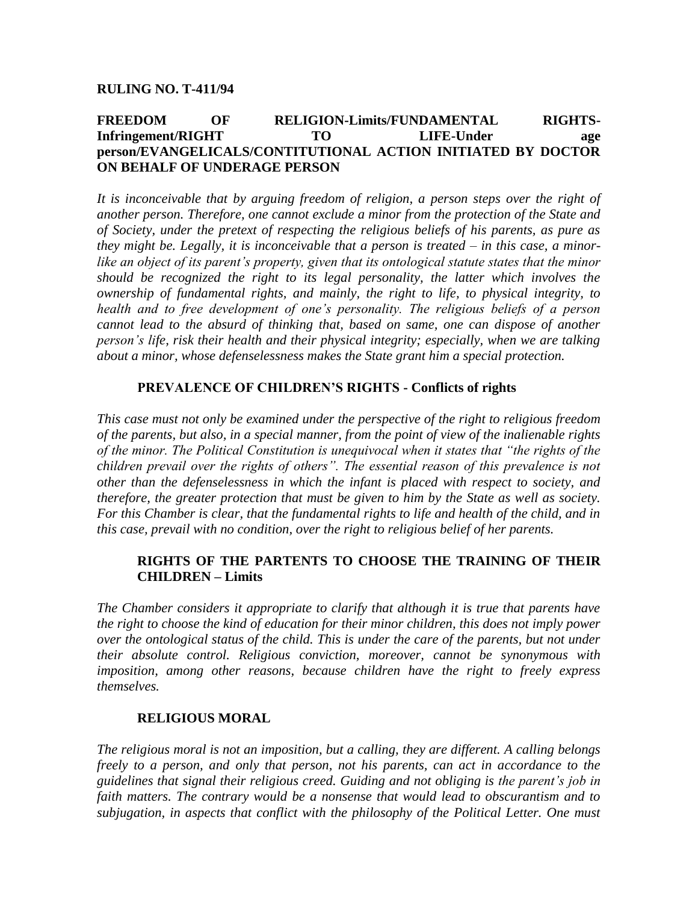#### **RULING NO. T-411/94**

## **FREEDOM OF RELIGION-Limits/FUNDAMENTAL RIGHTS-Infringement/RIGHT TO LIFE-Under age person/EVANGELICALS/CONTITUTIONAL ACTION INITIATED BY DOCTOR ON BEHALF OF UNDERAGE PERSON**

*It is inconceivable that by arguing freedom of religion, a person steps over the right of another person. Therefore, one cannot exclude a minor from the protection of the State and of Society, under the pretext of respecting the religious beliefs of his parents, as pure as they might be. Legally, it is inconceivable that a person is treated – in this case, a minorlike an object of its parent's property, given that its ontological statute states that the minor should be recognized the right to its legal personality, the latter which involves the ownership of fundamental rights, and mainly, the right to life, to physical integrity, to health and to free development of one's personality. The religious beliefs of a person cannot lead to the absurd of thinking that, based on same, one can dispose of another person's life, risk their health and their physical integrity; especially, when we are talking about a minor, whose defenselessness makes the State grant him a special protection.* 

#### **PREVALENCE OF CHILDREN'S RIGHTS - Conflicts of rights**

*This case must not only be examined under the perspective of the right to religious freedom of the parents, but also, in a special manner, from the point of view of the inalienable rights of the minor. The Political Constitution is unequivocal when it states that "the rights of the children prevail over the rights of others". The essential reason of this prevalence is not other than the defenselessness in which the infant is placed with respect to society, and therefore, the greater protection that must be given to him by the State as well as society. For this Chamber is clear, that the fundamental rights to life and health of the child, and in this case, prevail with no condition, over the right to religious belief of her parents.* 

## **RIGHTS OF THE PARTENTS TO CHOOSE THE TRAINING OF THEIR CHILDREN – Limits**

*The Chamber considers it appropriate to clarify that although it is true that parents have the right to choose the kind of education for their minor children, this does not imply power over the ontological status of the child. This is under the care of the parents, but not under their absolute control. Religious conviction, moreover, cannot be synonymous with imposition, among other reasons, because children have the right to freely express themselves.*

## **RELIGIOUS MORAL**

*The religious moral is not an imposition, but a calling, they are different. A calling belongs freely to a person, and only that person, not his parents, can act in accordance to the guidelines that signal their religious creed. Guiding and not obliging is the parent's job in faith matters. The contrary would be a nonsense that would lead to obscurantism and to subjugation, in aspects that conflict with the philosophy of the Political Letter. One must*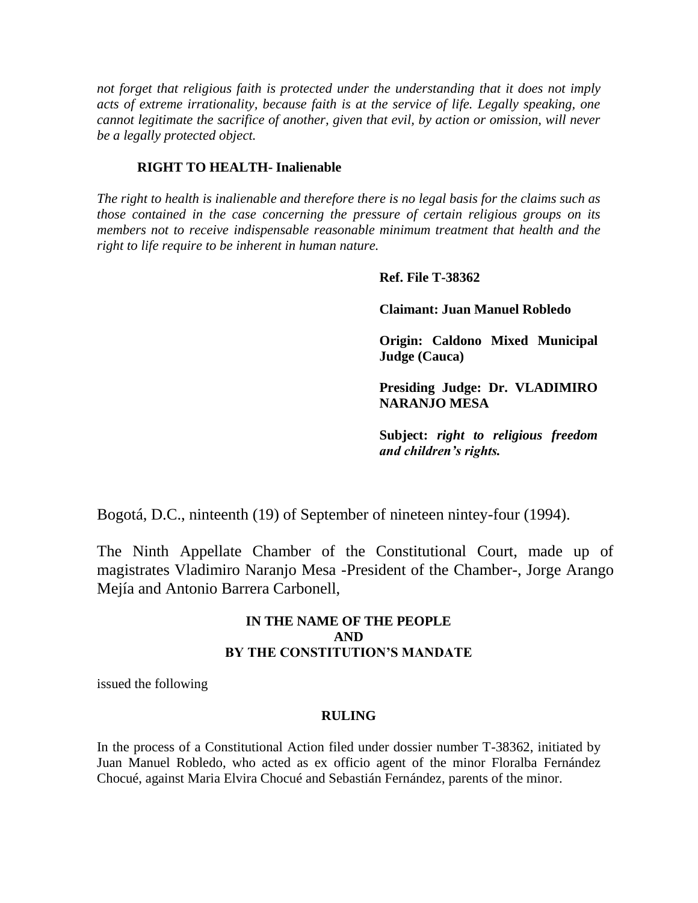*not forget that religious faith is protected under the understanding that it does not imply acts of extreme irrationality, because faith is at the service of life. Legally speaking, one cannot legitimate the sacrifice of another, given that evil, by action or omission, will never be a legally protected object.* 

## **RIGHT TO HEALTH- Inalienable**

*The right to health is inalienable and therefore there is no legal basis for the claims such as those contained in the case concerning the pressure of certain religious groups on its members not to receive indispensable reasonable minimum treatment that health and the right to life require to be inherent in human nature.*

## **Ref. File T-38362**

**Claimant: Juan Manuel Robledo**

**Origin: Caldono Mixed Municipal Judge (Cauca)**

**Presiding Judge: Dr. VLADIMIRO NARANJO MESA**

**Subject:** *right to religious freedom and children's rights.*

Bogotá, D.C., ninteenth (19) of September of nineteen nintey-four (1994).

The Ninth Appellate Chamber of the Constitutional Court, made up of magistrates Vladimiro Naranjo Mesa -President of the Chamber-, Jorge Arango Mejía and Antonio Barrera Carbonell,

## **IN THE NAME OF THE PEOPLE AND BY THE CONSTITUTION'S MANDATE**

issued the following

## **RULING**

In the process of a Constitutional Action filed under dossier number T-38362, initiated by Juan Manuel Robledo, who acted as ex officio agent of the minor Floralba Fernández Chocué, against Maria Elvira Chocué and Sebastián Fernández, parents of the minor.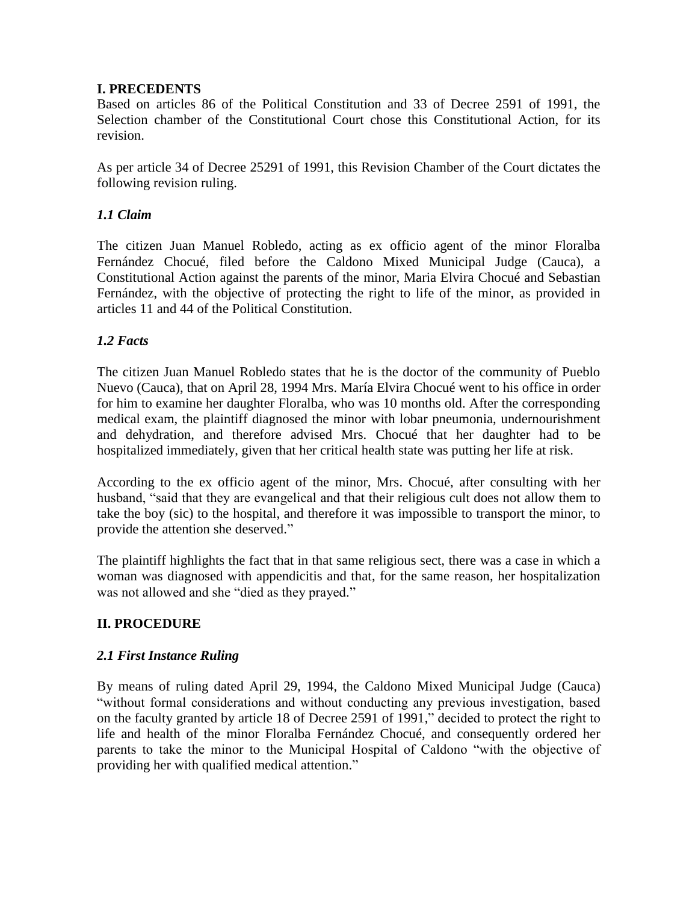## **I. PRECEDENTS**

Based on articles 86 of the Political Constitution and 33 of Decree 2591 of 1991, the Selection chamber of the Constitutional Court chose this Constitutional Action, for its revision.

As per article 34 of Decree 25291 of 1991, this Revision Chamber of the Court dictates the following revision ruling.

## *1.1 Claim*

The citizen Juan Manuel Robledo, acting as ex officio agent of the minor Floralba Fernández Chocué, filed before the Caldono Mixed Municipal Judge (Cauca), a Constitutional Action against the parents of the minor, Maria Elvira Chocué and Sebastian Fernández, with the objective of protecting the right to life of the minor, as provided in articles 11 and 44 of the Political Constitution.

## *1.2 Facts*

The citizen Juan Manuel Robledo states that he is the doctor of the community of Pueblo Nuevo (Cauca), that on April 28, 1994 Mrs. María Elvira Chocué went to his office in order for him to examine her daughter Floralba, who was 10 months old. After the corresponding medical exam, the plaintiff diagnosed the minor with lobar pneumonia, undernourishment and dehydration, and therefore advised Mrs. Chocué that her daughter had to be hospitalized immediately, given that her critical health state was putting her life at risk.

According to the ex officio agent of the minor, Mrs. Chocué, after consulting with her husband, "said that they are evangelical and that their religious cult does not allow them to take the boy (sic) to the hospital, and therefore it was impossible to transport the minor, to provide the attention she deserved."

The plaintiff highlights the fact that in that same religious sect, there was a case in which a woman was diagnosed with appendicitis and that, for the same reason, her hospitalization was not allowed and she "died as they prayed."

# **II. PROCEDURE**

## *2.1 First Instance Ruling*

By means of ruling dated April 29, 1994, the Caldono Mixed Municipal Judge (Cauca) "without formal considerations and without conducting any previous investigation, based on the faculty granted by article 18 of Decree 2591 of 1991," decided to protect the right to life and health of the minor Floralba Fernández Chocué, and consequently ordered her parents to take the minor to the Municipal Hospital of Caldono "with the objective of providing her with qualified medical attention."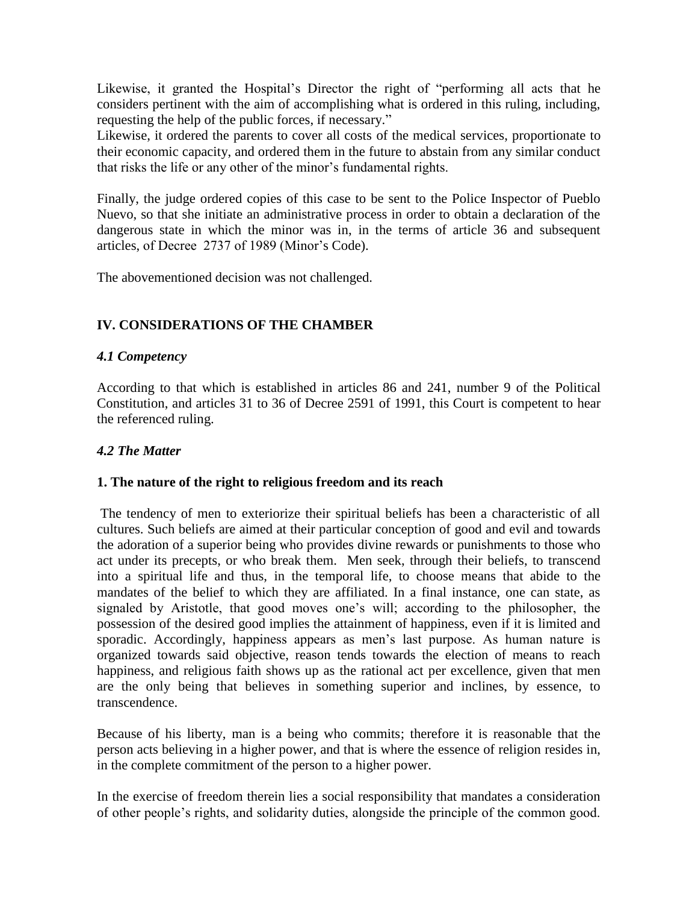Likewise, it granted the Hospital's Director the right of "performing all acts that he considers pertinent with the aim of accomplishing what is ordered in this ruling, including, requesting the help of the public forces, if necessary."

Likewise, it ordered the parents to cover all costs of the medical services, proportionate to their economic capacity, and ordered them in the future to abstain from any similar conduct that risks the life or any other of the minor's fundamental rights.

Finally, the judge ordered copies of this case to be sent to the Police Inspector of Pueblo Nuevo, so that she initiate an administrative process in order to obtain a declaration of the dangerous state in which the minor was in, in the terms of article 36 and subsequent articles, of Decree 2737 of 1989 (Minor's Code).

The abovementioned decision was not challenged.

## **IV. CONSIDERATIONS OF THE CHAMBER**

## *4.1 Competency*

According to that which is established in articles 86 and 241, number 9 of the Political Constitution, and articles 31 to 36 of Decree 2591 of 1991, this Court is competent to hear the referenced ruling.

## *4.2 The Matter*

## **1. The nature of the right to religious freedom and its reach**

The tendency of men to exteriorize their spiritual beliefs has been a characteristic of all cultures. Such beliefs are aimed at their particular conception of good and evil and towards the adoration of a superior being who provides divine rewards or punishments to those who act under its precepts, or who break them. Men seek, through their beliefs, to transcend into a spiritual life and thus, in the temporal life, to choose means that abide to the mandates of the belief to which they are affiliated. In a final instance, one can state, as signaled by Aristotle, that good moves one's will; according to the philosopher, the possession of the desired good implies the attainment of happiness, even if it is limited and sporadic. Accordingly, happiness appears as men's last purpose. As human nature is organized towards said objective, reason tends towards the election of means to reach happiness, and religious faith shows up as the rational act per excellence, given that men are the only being that believes in something superior and inclines, by essence, to transcendence.

Because of his liberty, man is a being who commits; therefore it is reasonable that the person acts believing in a higher power, and that is where the essence of religion resides in, in the complete commitment of the person to a higher power.

In the exercise of freedom therein lies a social responsibility that mandates a consideration of other people's rights, and solidarity duties, alongside the principle of the common good.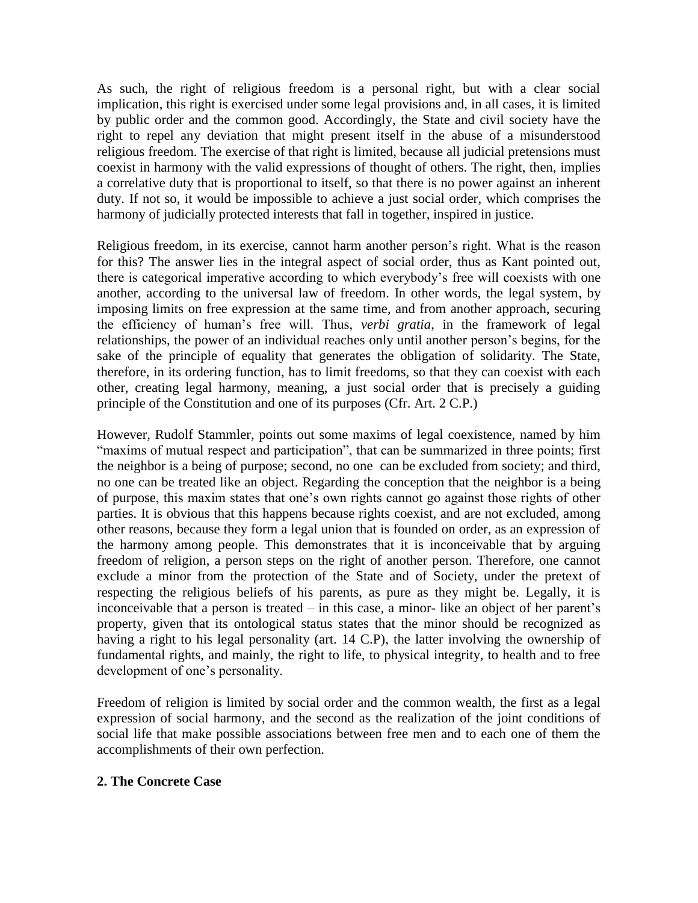As such, the right of religious freedom is a personal right, but with a clear social implication, this right is exercised under some legal provisions and, in all cases, it is limited by public order and the common good. Accordingly, the State and civil society have the right to repel any deviation that might present itself in the abuse of a misunderstood religious freedom. The exercise of that right is limited, because all judicial pretensions must coexist in harmony with the valid expressions of thought of others. The right, then, implies a correlative duty that is proportional to itself, so that there is no power against an inherent duty. If not so, it would be impossible to achieve a just social order, which comprises the harmony of judicially protected interests that fall in together, inspired in justice.

Religious freedom, in its exercise, cannot harm another person's right. What is the reason for this? The answer lies in the integral aspect of social order, thus as Kant pointed out, there is categorical imperative according to which everybody's free will coexists with one another, according to the universal law of freedom. In other words, the legal system, by imposing limits on free expression at the same time, and from another approach, securing the efficiency of human's free will. Thus, *verbi gratia*, in the framework of legal relationships, the power of an individual reaches only until another person's begins, for the sake of the principle of equality that generates the obligation of solidarity. The State, therefore, in its ordering function, has to limit freedoms, so that they can coexist with each other, creating legal harmony, meaning, a just social order that is precisely a guiding principle of the Constitution and one of its purposes (Cfr. Art. 2 C.P.)

However, Rudolf Stammler, points out some maxims of legal coexistence, named by him "maxims of mutual respect and participation", that can be summarized in three points; first the neighbor is a being of purpose; second, no one can be excluded from society; and third, no one can be treated like an object. Regarding the conception that the neighbor is a being of purpose, this maxim states that one's own rights cannot go against those rights of other parties. It is obvious that this happens because rights coexist, and are not excluded, among other reasons, because they form a legal union that is founded on order, as an expression of the harmony among people. This demonstrates that it is inconceivable that by arguing freedom of religion, a person steps on the right of another person. Therefore, one cannot exclude a minor from the protection of the State and of Society, under the pretext of respecting the religious beliefs of his parents, as pure as they might be. Legally, it is inconceivable that a person is treated – in this case, a minor- like an object of her parent's property, given that its ontological status states that the minor should be recognized as having a right to his legal personality (art. 14 C.P), the latter involving the ownership of fundamental rights, and mainly, the right to life, to physical integrity, to health and to free development of one's personality.

Freedom of religion is limited by social order and the common wealth, the first as a legal expression of social harmony, and the second as the realization of the joint conditions of social life that make possible associations between free men and to each one of them the accomplishments of their own perfection.

## **2. The Concrete Case**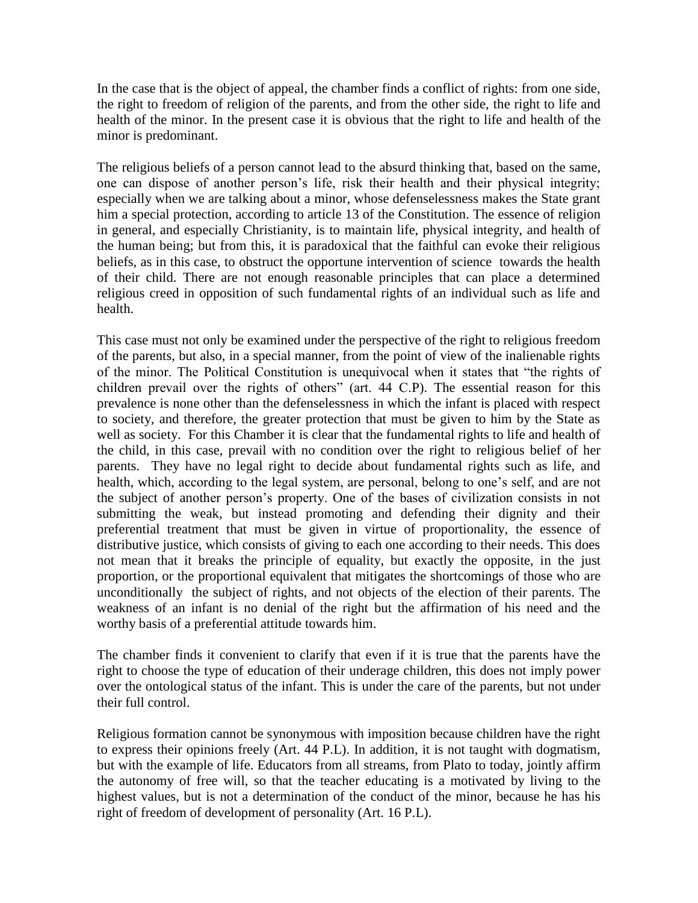In the case that is the object of appeal, the chamber finds a conflict of rights: from one side, the right to freedom of religion of the parents, and from the other side, the right to life and health of the minor. In the present case it is obvious that the right to life and health of the minor is predominant.

The religious beliefs of a person cannot lead to the absurd thinking that, based on the same, one can dispose of another person's life, risk their health and their physical integrity; especially when we are talking about a minor, whose defenselessness makes the State grant him a special protection, according to article 13 of the Constitution. The essence of religion in general, and especially Christianity, is to maintain life, physical integrity, and health of the human being; but from this, it is paradoxical that the faithful can evoke their religious beliefs, as in this case, to obstruct the opportune intervention of science towards the health of their child. There are not enough reasonable principles that can place a determined religious creed in opposition of such fundamental rights of an individual such as life and health.

This case must not only be examined under the perspective of the right to religious freedom of the parents, but also, in a special manner, from the point of view of the inalienable rights of the minor. The Political Constitution is unequivocal when it states that "the rights of children prevail over the rights of others" (art. 44 C.P). The essential reason for this prevalence is none other than the defenselessness in which the infant is placed with respect to society, and therefore, the greater protection that must be given to him by the State as well as society. For this Chamber it is clear that the fundamental rights to life and health of the child, in this case, prevail with no condition over the right to religious belief of her parents. They have no legal right to decide about fundamental rights such as life, and health, which, according to the legal system, are personal, belong to one's self, and are not the subject of another person's property. One of the bases of civilization consists in not submitting the weak, but instead promoting and defending their dignity and their preferential treatment that must be given in virtue of proportionality, the essence of distributive justice, which consists of giving to each one according to their needs. This does not mean that it breaks the principle of equality, but exactly the opposite, in the just proportion, or the proportional equivalent that mitigates the shortcomings of those who are unconditionally the subject of rights, and not objects of the election of their parents. The weakness of an infant is no denial of the right but the affirmation of his need and the worthy basis of a preferential attitude towards him.

The chamber finds it convenient to clarify that even if it is true that the parents have the right to choose the type of education of their underage children, this does not imply power over the ontological status of the infant. This is under the care of the parents, but not under their full control.

Religious formation cannot be synonymous with imposition because children have the right to express their opinions freely (Art. 44 P.L). In addition, it is not taught with dogmatism, but with the example of life. Educators from all streams, from Plato to today, jointly affirm the autonomy of free will, so that the teacher educating is a motivated by living to the highest values, but is not a determination of the conduct of the minor, because he has his right of freedom of development of personality (Art. 16 P.L).